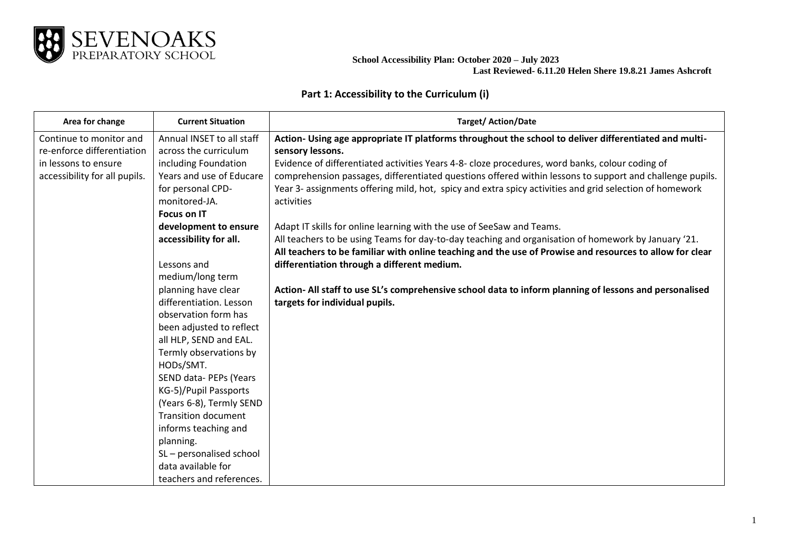

## **Part 1: Accessibility to the Curriculum (i)**

| Area for change               | <b>Current Situation</b>   | <b>Target/Action/Date</b>                                                                                                                                                                                       |
|-------------------------------|----------------------------|-----------------------------------------------------------------------------------------------------------------------------------------------------------------------------------------------------------------|
| Continue to monitor and       | Annual INSET to all staff  | Action- Using age appropriate IT platforms throughout the school to deliver differentiated and multi-                                                                                                           |
| re-enforce differentiation    | across the curriculum      | sensory lessons.                                                                                                                                                                                                |
| in lessons to ensure          | including Foundation       | Evidence of differentiated activities Years 4-8- cloze procedures, word banks, colour coding of                                                                                                                 |
| accessibility for all pupils. | Years and use of Educare   | comprehension passages, differentiated questions offered within lessons to support and challenge pupils.                                                                                                        |
|                               | for personal CPD-          | Year 3- assignments offering mild, hot, spicy and extra spicy activities and grid selection of homework                                                                                                         |
|                               | monitored-JA.              | activities                                                                                                                                                                                                      |
|                               | <b>Focus on IT</b>         |                                                                                                                                                                                                                 |
|                               | development to ensure      | Adapt IT skills for online learning with the use of SeeSaw and Teams.                                                                                                                                           |
|                               | accessibility for all.     | All teachers to be using Teams for day-to-day teaching and organisation of homework by January '21.<br>All teachers to be familiar with online teaching and the use of Prowise and resources to allow for clear |
|                               | Lessons and                | differentiation through a different medium.                                                                                                                                                                     |
|                               | medium/long term           |                                                                                                                                                                                                                 |
|                               | planning have clear        | Action-All staff to use SL's comprehensive school data to inform planning of lessons and personalised                                                                                                           |
|                               | differentiation. Lesson    | targets for individual pupils.                                                                                                                                                                                  |
|                               | observation form has       |                                                                                                                                                                                                                 |
|                               | been adjusted to reflect   |                                                                                                                                                                                                                 |
|                               | all HLP, SEND and EAL.     |                                                                                                                                                                                                                 |
|                               | Termly observations by     |                                                                                                                                                                                                                 |
|                               | HODs/SMT.                  |                                                                                                                                                                                                                 |
|                               | SEND data- PEPs (Years     |                                                                                                                                                                                                                 |
|                               | KG-5)/Pupil Passports      |                                                                                                                                                                                                                 |
|                               | (Years 6-8), Termly SEND   |                                                                                                                                                                                                                 |
|                               | <b>Transition document</b> |                                                                                                                                                                                                                 |
|                               | informs teaching and       |                                                                                                                                                                                                                 |
|                               | planning.                  |                                                                                                                                                                                                                 |
|                               | SL-personalised school     |                                                                                                                                                                                                                 |
|                               | data available for         |                                                                                                                                                                                                                 |
|                               | teachers and references.   |                                                                                                                                                                                                                 |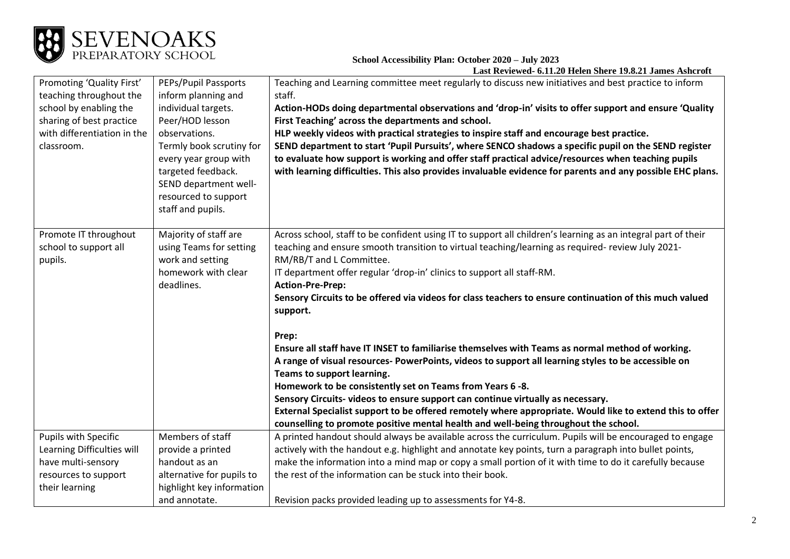

| Promoting 'Quality First'<br>teaching throughout the<br>school by enabling the<br>sharing of best practice<br>with differentiation in the<br>classroom. | PEPs/Pupil Passports<br>inform planning and<br>individual targets.<br>Peer/HOD lesson<br>observations.<br>Termly book scrutiny for<br>every year group with<br>targeted feedback.<br>SEND department well-<br>resourced to support<br>staff and pupils. | Teaching and Learning committee meet regularly to discuss new initiatives and best practice to inform<br>staff.<br>Action-HODs doing departmental observations and 'drop-in' visits to offer support and ensure 'Quality<br>First Teaching' across the departments and school.<br>HLP weekly videos with practical strategies to inspire staff and encourage best practice.<br>SEND department to start 'Pupil Pursuits', where SENCO shadows a specific pupil on the SEND register<br>to evaluate how support is working and offer staff practical advice/resources when teaching pupils<br>with learning difficulties. This also provides invaluable evidence for parents and any possible EHC plans. |
|---------------------------------------------------------------------------------------------------------------------------------------------------------|---------------------------------------------------------------------------------------------------------------------------------------------------------------------------------------------------------------------------------------------------------|---------------------------------------------------------------------------------------------------------------------------------------------------------------------------------------------------------------------------------------------------------------------------------------------------------------------------------------------------------------------------------------------------------------------------------------------------------------------------------------------------------------------------------------------------------------------------------------------------------------------------------------------------------------------------------------------------------|
| Promote IT throughout<br>school to support all<br>pupils.                                                                                               | Majority of staff are<br>using Teams for setting<br>work and setting<br>homework with clear<br>deadlines.                                                                                                                                               | Across school, staff to be confident using IT to support all children's learning as an integral part of their<br>teaching and ensure smooth transition to virtual teaching/learning as required- review July 2021-<br>RM/RB/T and L Committee.<br>IT department offer regular 'drop-in' clinics to support all staff-RM.<br><b>Action-Pre-Prep:</b><br>Sensory Circuits to be offered via videos for class teachers to ensure continuation of this much valued<br>support.                                                                                                                                                                                                                              |
|                                                                                                                                                         |                                                                                                                                                                                                                                                         | Prep:<br>Ensure all staff have IT INSET to familiarise themselves with Teams as normal method of working.<br>A range of visual resources- PowerPoints, videos to support all learning styles to be accessible on<br>Teams to support learning.<br>Homework to be consistently set on Teams from Years 6-8.<br>Sensory Circuits-videos to ensure support can continue virtually as necessary.<br>External Specialist support to be offered remotely where appropriate. Would like to extend this to offer<br>counselling to promote positive mental health and well-being throughout the school.                                                                                                         |
| Pupils with Specific<br>Learning Difficulties will                                                                                                      | Members of staff<br>provide a printed                                                                                                                                                                                                                   | A printed handout should always be available across the curriculum. Pupils will be encouraged to engage<br>actively with the handout e.g. highlight and annotate key points, turn a paragraph into bullet points,                                                                                                                                                                                                                                                                                                                                                                                                                                                                                       |
| have multi-sensory                                                                                                                                      | handout as an                                                                                                                                                                                                                                           | make the information into a mind map or copy a small portion of it with time to do it carefully because                                                                                                                                                                                                                                                                                                                                                                                                                                                                                                                                                                                                 |
| resources to support                                                                                                                                    | alternative for pupils to                                                                                                                                                                                                                               | the rest of the information can be stuck into their book.                                                                                                                                                                                                                                                                                                                                                                                                                                                                                                                                                                                                                                               |
| their learning                                                                                                                                          | highlight key information                                                                                                                                                                                                                               |                                                                                                                                                                                                                                                                                                                                                                                                                                                                                                                                                                                                                                                                                                         |
|                                                                                                                                                         | and annotate.                                                                                                                                                                                                                                           | Revision packs provided leading up to assessments for Y4-8.                                                                                                                                                                                                                                                                                                                                                                                                                                                                                                                                                                                                                                             |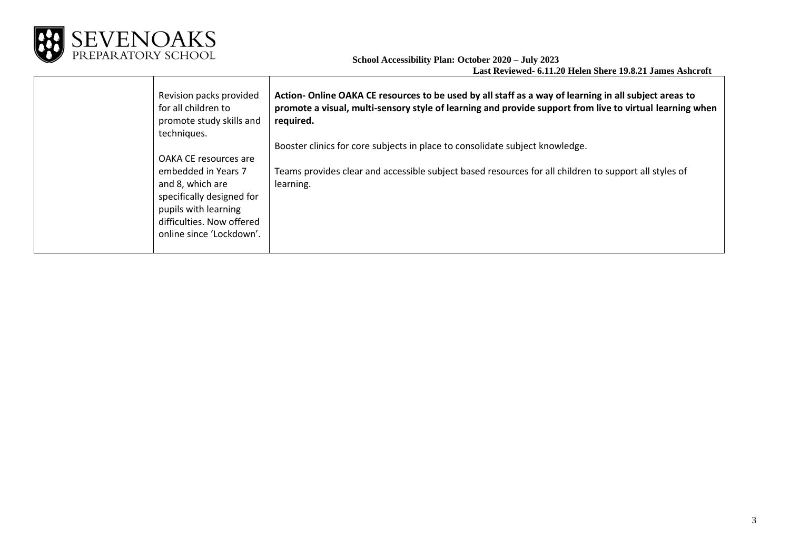

| Revision packs provided<br>for all children to<br>promote study skills and<br>techniques.                                                             | Action-Online OAKA CE resources to be used by all staff as a way of learning in all subject areas to<br>promote a visual, multi-sensory style of learning and provide support from live to virtual learning when<br>required. |
|-------------------------------------------------------------------------------------------------------------------------------------------------------|-------------------------------------------------------------------------------------------------------------------------------------------------------------------------------------------------------------------------------|
|                                                                                                                                                       | Booster clinics for core subjects in place to consolidate subject knowledge.                                                                                                                                                  |
| OAKA CE resources are                                                                                                                                 |                                                                                                                                                                                                                               |
| embedded in Years 7<br>and 8, which are<br>specifically designed for<br>pupils with learning<br>difficulties. Now offered<br>online since 'Lockdown'. | Teams provides clear and accessible subject based resources for all children to support all styles of<br>learning.                                                                                                            |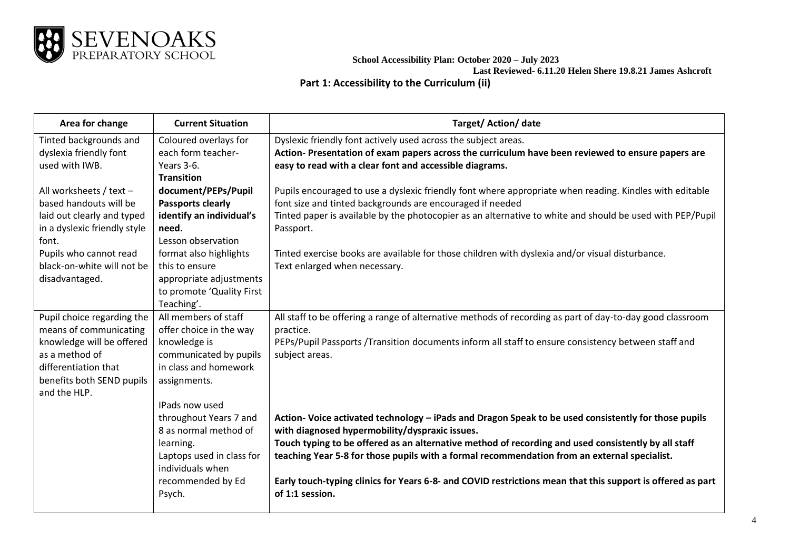

**Part 1: Accessibility to the Curriculum (ii)**

| Area for change                                                                                                                                                          | <b>Current Situation</b>                                                                                                                             | Target/Action/date                                                                                                                                                                                                                                                                                                                                                                                                                                                                             |
|--------------------------------------------------------------------------------------------------------------------------------------------------------------------------|------------------------------------------------------------------------------------------------------------------------------------------------------|------------------------------------------------------------------------------------------------------------------------------------------------------------------------------------------------------------------------------------------------------------------------------------------------------------------------------------------------------------------------------------------------------------------------------------------------------------------------------------------------|
| Tinted backgrounds and<br>dyslexia friendly font<br>used with IWB.<br>All worksheets / text $-$<br>based handouts will be                                                | Coloured overlays for<br>each form teacher-<br>Years 3-6.<br><b>Transition</b><br>document/PEPs/Pupil<br>Passports clearly                           | Dyslexic friendly font actively used across the subject areas.<br>Action-Presentation of exam papers across the curriculum have been reviewed to ensure papers are<br>easy to read with a clear font and accessible diagrams.<br>Pupils encouraged to use a dyslexic friendly font where appropriate when reading. Kindles with editable<br>font size and tinted backgrounds are encouraged if needed                                                                                          |
| laid out clearly and typed<br>in a dyslexic friendly style<br>font.                                                                                                      | identify an individual's<br>need.<br>Lesson observation                                                                                              | Tinted paper is available by the photocopier as an alternative to white and should be used with PEP/Pupil<br>Passport.                                                                                                                                                                                                                                                                                                                                                                         |
| Pupils who cannot read<br>black-on-white will not be<br>disadvantaged.                                                                                                   | format also highlights<br>this to ensure<br>appropriate adjustments<br>to promote 'Quality First<br>Teaching'.                                       | Tinted exercise books are available for those children with dyslexia and/or visual disturbance.<br>Text enlarged when necessary.                                                                                                                                                                                                                                                                                                                                                               |
| Pupil choice regarding the<br>means of communicating<br>knowledge will be offered<br>as a method of<br>differentiation that<br>benefits both SEND pupils<br>and the HLP. | All members of staff<br>offer choice in the way<br>knowledge is<br>communicated by pupils<br>in class and homework<br>assignments.<br>IPads now used | All staff to be offering a range of alternative methods of recording as part of day-to-day good classroom<br>practice.<br>PEPs/Pupil Passports /Transition documents inform all staff to ensure consistency between staff and<br>subject areas.                                                                                                                                                                                                                                                |
|                                                                                                                                                                          | throughout Years 7 and<br>8 as normal method of<br>learning.<br>Laptops used in class for<br>individuals when<br>recommended by Ed<br>Psych.         | Action- Voice activated technology - iPads and Dragon Speak to be used consistently for those pupils<br>with diagnosed hypermobility/dyspraxic issues.<br>Touch typing to be offered as an alternative method of recording and used consistently by all staff<br>teaching Year 5-8 for those pupils with a formal recommendation from an external specialist.<br>Early touch-typing clinics for Years 6-8- and COVID restrictions mean that this support is offered as part<br>of 1:1 session. |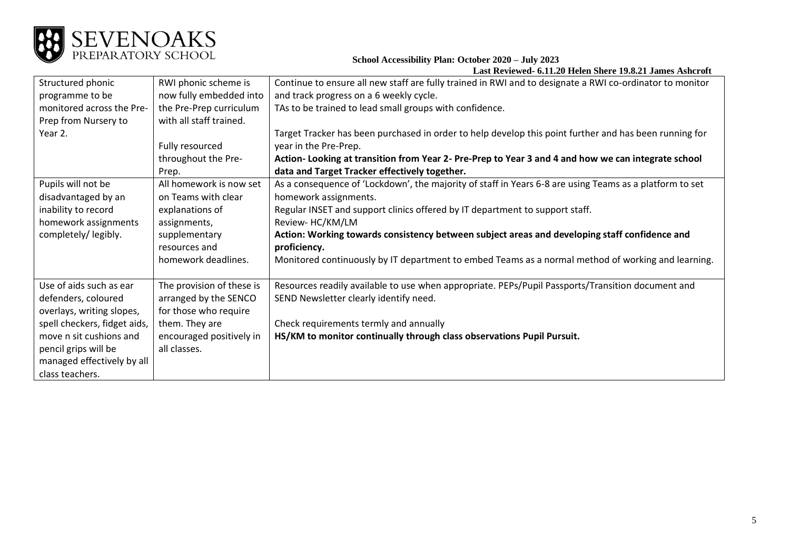

| Structured phonic            | RWI phonic scheme is      | Continue to ensure all new staff are fully trained in RWI and to designate a RWI co-ordinator to monitor |  |
|------------------------------|---------------------------|----------------------------------------------------------------------------------------------------------|--|
| programme to be              | now fully embedded into   | and track progress on a 6 weekly cycle.                                                                  |  |
| monitored across the Pre-    | the Pre-Prep curriculum   | TAs to be trained to lead small groups with confidence.                                                  |  |
| Prep from Nursery to         | with all staff trained.   |                                                                                                          |  |
| Year 2.                      |                           |                                                                                                          |  |
|                              |                           | Target Tracker has been purchased in order to help develop this point further and has been running for   |  |
|                              | Fully resourced           | year in the Pre-Prep.                                                                                    |  |
|                              | throughout the Pre-       | Action- Looking at transition from Year 2- Pre-Prep to Year 3 and 4 and how we can integrate school      |  |
|                              | Prep.                     | data and Target Tracker effectively together.                                                            |  |
| Pupils will not be           | All homework is now set   | As a consequence of 'Lockdown', the majority of staff in Years 6-8 are using Teams as a platform to set  |  |
| disadvantaged by an          | on Teams with clear       | homework assignments.                                                                                    |  |
| inability to record          | explanations of           | Regular INSET and support clinics offered by IT department to support staff.                             |  |
| homework assignments         | assignments,              | Review-HC/KM/LM                                                                                          |  |
| completely/legibly.          | supplementary             | Action: Working towards consistency between subject areas and developing staff confidence and            |  |
|                              |                           |                                                                                                          |  |
|                              | resources and             | proficiency.                                                                                             |  |
|                              | homework deadlines.       | Monitored continuously by IT department to embed Teams as a normal method of working and learning.       |  |
|                              |                           |                                                                                                          |  |
| Use of aids such as ear      | The provision of these is | Resources readily available to use when appropriate. PEPs/Pupil Passports/Transition document and        |  |
| defenders, coloured          | arranged by the SENCO     | SEND Newsletter clearly identify need.                                                                   |  |
| overlays, writing slopes,    | for those who require     |                                                                                                          |  |
| spell checkers, fidget aids, | them. They are            | Check requirements termly and annually                                                                   |  |
| move n sit cushions and      | encouraged positively in  | HS/KM to monitor continually through class observations Pupil Pursuit.                                   |  |
|                              | all classes.              |                                                                                                          |  |
| pencil grips will be         |                           |                                                                                                          |  |
| managed effectively by all   |                           |                                                                                                          |  |
| class teachers.              |                           |                                                                                                          |  |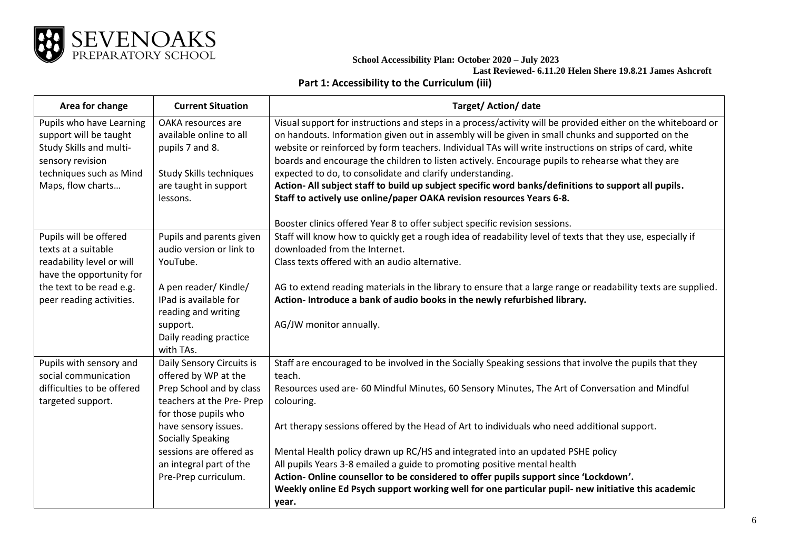

## **Part 1: Accessibility to the Curriculum (iii)**

| Area for change                                                                                                                                   | <b>Current Situation</b>                                                                                             | Target/Action/date                                                                                                                                                                                                                                                                                                                                                                                                                                                                                                                                                                                    |
|---------------------------------------------------------------------------------------------------------------------------------------------------|----------------------------------------------------------------------------------------------------------------------|-------------------------------------------------------------------------------------------------------------------------------------------------------------------------------------------------------------------------------------------------------------------------------------------------------------------------------------------------------------------------------------------------------------------------------------------------------------------------------------------------------------------------------------------------------------------------------------------------------|
| Pupils who have Learning<br>support will be taught<br>Study Skills and multi-<br>sensory revision<br>techniques such as Mind<br>Maps, flow charts | OAKA resources are<br>available online to all<br>pupils 7 and 8.<br>Study Skills techniques<br>are taught in support | Visual support for instructions and steps in a process/activity will be provided either on the whiteboard or<br>on handouts. Information given out in assembly will be given in small chunks and supported on the<br>website or reinforced by form teachers. Individual TAs will write instructions on strips of card, white<br>boards and encourage the children to listen actively. Encourage pupils to rehearse what they are<br>expected to do, to consolidate and clarify understanding.<br>Action- All subject staff to build up subject specific word banks/definitions to support all pupils. |
|                                                                                                                                                   | lessons.                                                                                                             | Staff to actively use online/paper OAKA revision resources Years 6-8.                                                                                                                                                                                                                                                                                                                                                                                                                                                                                                                                 |
|                                                                                                                                                   |                                                                                                                      | Booster clinics offered Year 8 to offer subject specific revision sessions.                                                                                                                                                                                                                                                                                                                                                                                                                                                                                                                           |
| Pupils will be offered<br>texts at a suitable<br>readability level or will<br>have the opportunity for                                            | Pupils and parents given<br>audio version or link to<br>YouTube.                                                     | Staff will know how to quickly get a rough idea of readability level of texts that they use, especially if<br>downloaded from the Internet.<br>Class texts offered with an audio alternative.                                                                                                                                                                                                                                                                                                                                                                                                         |
| the text to be read e.g.<br>peer reading activities.                                                                                              | A pen reader/Kindle/<br>IPad is available for<br>reading and writing                                                 | AG to extend reading materials in the library to ensure that a large range or readability texts are supplied.<br>Action- Introduce a bank of audio books in the newly refurbished library.                                                                                                                                                                                                                                                                                                                                                                                                            |
|                                                                                                                                                   | support.<br>Daily reading practice<br>with TAs.                                                                      | AG/JW monitor annually.                                                                                                                                                                                                                                                                                                                                                                                                                                                                                                                                                                               |
| Pupils with sensory and<br>social communication                                                                                                   | Daily Sensory Circuits is<br>offered by WP at the                                                                    | Staff are encouraged to be involved in the Socially Speaking sessions that involve the pupils that they<br>teach.                                                                                                                                                                                                                                                                                                                                                                                                                                                                                     |
| difficulties to be offered<br>targeted support.                                                                                                   | Prep School and by class<br>teachers at the Pre- Prep<br>for those pupils who                                        | Resources used are- 60 Mindful Minutes, 60 Sensory Minutes, The Art of Conversation and Mindful<br>colouring.                                                                                                                                                                                                                                                                                                                                                                                                                                                                                         |
|                                                                                                                                                   | have sensory issues.<br><b>Socially Speaking</b>                                                                     | Art therapy sessions offered by the Head of Art to individuals who need additional support.                                                                                                                                                                                                                                                                                                                                                                                                                                                                                                           |
|                                                                                                                                                   | sessions are offered as                                                                                              | Mental Health policy drawn up RC/HS and integrated into an updated PSHE policy                                                                                                                                                                                                                                                                                                                                                                                                                                                                                                                        |
|                                                                                                                                                   | an integral part of the                                                                                              | All pupils Years 3-8 emailed a guide to promoting positive mental health                                                                                                                                                                                                                                                                                                                                                                                                                                                                                                                              |
|                                                                                                                                                   | Pre-Prep curriculum.                                                                                                 | Action-Online counsellor to be considered to offer pupils support since 'Lockdown'.                                                                                                                                                                                                                                                                                                                                                                                                                                                                                                                   |
|                                                                                                                                                   |                                                                                                                      | Weekly online Ed Psych support working well for one particular pupil- new initiative this academic<br>year.                                                                                                                                                                                                                                                                                                                                                                                                                                                                                           |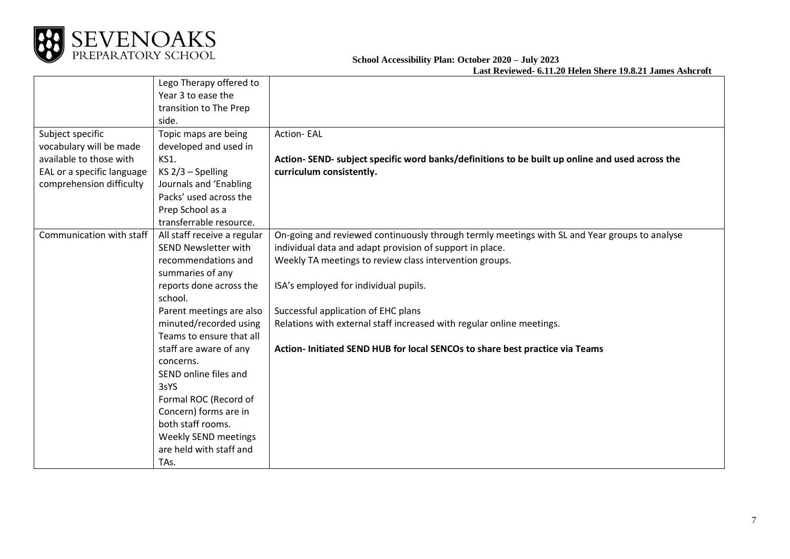

|                            | Lego Therapy offered to     |                                                                                                |
|----------------------------|-----------------------------|------------------------------------------------------------------------------------------------|
|                            | Year 3 to ease the          |                                                                                                |
|                            | transition to The Prep      |                                                                                                |
|                            | side.                       |                                                                                                |
| Subject specific           | Topic maps are being        | <b>Action-EAL</b>                                                                              |
| vocabulary will be made    | developed and used in       |                                                                                                |
| available to those with    | <b>KS1.</b>                 | Action-SEND- subject specific word banks/definitions to be built up online and used across the |
| EAL or a specific language | $KS$ 2/3 – Spelling         | curriculum consistently.                                                                       |
| comprehension difficulty   | Journals and 'Enabling      |                                                                                                |
|                            | Packs' used across the      |                                                                                                |
|                            | Prep School as a            |                                                                                                |
|                            | transferrable resource.     |                                                                                                |
| Communication with staff   | All staff receive a regular | On-going and reviewed continuously through termly meetings with SL and Year groups to analyse  |
|                            | <b>SEND Newsletter with</b> | individual data and adapt provision of support in place.                                       |
|                            | recommendations and         | Weekly TA meetings to review class intervention groups.                                        |
|                            | summaries of any            |                                                                                                |
|                            | reports done across the     | ISA's employed for individual pupils.                                                          |
|                            | school.                     |                                                                                                |
|                            | Parent meetings are also    | Successful application of EHC plans                                                            |
|                            | minuted/recorded using      | Relations with external staff increased with regular online meetings.                          |
|                            | Teams to ensure that all    |                                                                                                |
|                            | staff are aware of any      | Action- Initiated SEND HUB for local SENCOs to share best practice via Teams                   |
|                            | concerns.                   |                                                                                                |
|                            | SEND online files and       |                                                                                                |
|                            | 3sYS                        |                                                                                                |
|                            | Formal ROC (Record of       |                                                                                                |
|                            | Concern) forms are in       |                                                                                                |
|                            | both staff rooms.           |                                                                                                |
|                            | Weekly SEND meetings        |                                                                                                |
|                            | are held with staff and     |                                                                                                |
|                            | TAs.                        |                                                                                                |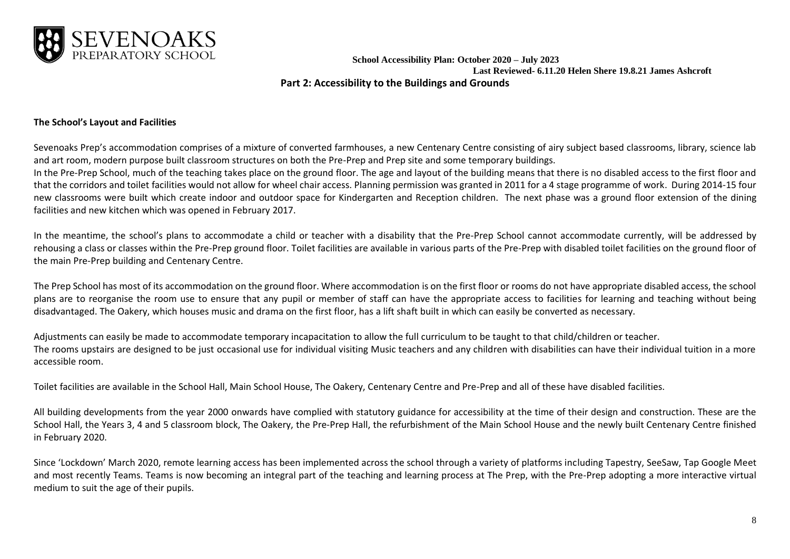

**Last Reviewed- 6.11.20 Helen Shere 19.8.21 James Ashcroft Part 2: Accessibility to the Buildings and Grounds**

## **The School's Layout and Facilities**

Sevenoaks Prep's accommodation comprises of a mixture of converted farmhouses, a new Centenary Centre consisting of airy subject based classrooms, library, science lab and art room, modern purpose built classroom structures on both the Pre-Prep and Prep site and some temporary buildings.

In the Pre-Prep School, much of the teaching takes place on the ground floor. The age and layout of the building means that there is no disabled access to the first floor and that the corridors and toilet facilities would not allow for wheel chair access. Planning permission was granted in 2011 for a 4 stage programme of work. During 2014-15 four new classrooms were built which create indoor and outdoor space for Kindergarten and Reception children. The next phase was a ground floor extension of the dining facilities and new kitchen which was opened in February 2017.

In the meantime, the school's plans to accommodate a child or teacher with a disability that the Pre-Prep School cannot accommodate currently, will be addressed by rehousing a class or classes within the Pre-Prep ground floor. Toilet facilities are available in various parts of the Pre-Prep with disabled toilet facilities on the ground floor of the main Pre-Prep building and Centenary Centre.

The Prep School has most of its accommodation on the ground floor. Where accommodation is on the first floor or rooms do not have appropriate disabled access, the school plans are to reorganise the room use to ensure that any pupil or member of staff can have the appropriate access to facilities for learning and teaching without being disadvantaged. The Oakery, which houses music and drama on the first floor, has a lift shaft built in which can easily be converted as necessary.

Adjustments can easily be made to accommodate temporary incapacitation to allow the full curriculum to be taught to that child/children or teacher. The rooms upstairs are designed to be just occasional use for individual visiting Music teachers and any children with disabilities can have their individual tuition in a more accessible room.

Toilet facilities are available in the School Hall, Main School House, The Oakery, Centenary Centre and Pre-Prep and all of these have disabled facilities.

All building developments from the year 2000 onwards have complied with statutory guidance for accessibility at the time of their design and construction. These are the School Hall, the Years 3, 4 and 5 classroom block, The Oakery, the Pre-Prep Hall, the refurbishment of the Main School House and the newly built Centenary Centre finished in February 2020.

Since 'Lockdown' March 2020, remote learning access has been implemented across the school through a variety of platforms including Tapestry, SeeSaw, Tap Google Meet and most recently Teams. Teams is now becoming an integral part of the teaching and learning process at The Prep, with the Pre-Prep adopting a more interactive virtual medium to suit the age of their pupils.